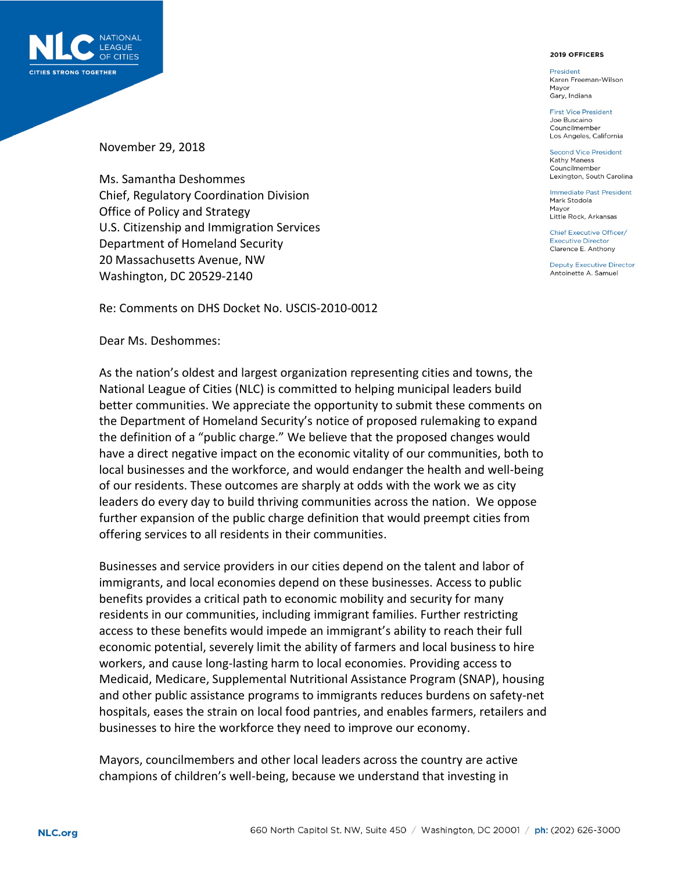

## 2019 OFFICERS

**President** Karen Freeman-Wilson Mayor Gary, Indiana

**First Vice President** Joe Buscaino Councilmember Los Angeles, California

Second Vice President **Kathy Maness** Councilmember Lexington, South Carolina

**Immediate Past President** Mark Stodola Mayor Little Rock, Arkansas

Chief Executive Officer/ **Executive Director** Clarence E. Anthony

**Deputy Executive Director** Antoinette A. Samuel

November 29, 2018

Ms. Samantha Deshommes Chief, Regulatory Coordination Division Office of Policy and Strategy U.S. Citizenship and Immigration Services Department of Homeland Security 20 Massachusetts Avenue, NW Washington, DC 20529-2140

Re: Comments on DHS Docket No. USCIS-2010-0012

Dear Ms. Deshommes:

As the nation's oldest and largest organization representing cities and towns, the National League of Cities (NLC) is committed to helping municipal leaders build better communities. We appreciate the opportunity to submit these comments on the Department of Homeland Security's notice of proposed rulemaking to expand the definition of a "public charge." We believe that the proposed changes would have a direct negative impact on the economic vitality of our communities, both to local businesses and the workforce, and would endanger the health and well-being of our residents. These outcomes are sharply at odds with the work we as city leaders do every day to build thriving communities across the nation. We oppose further expansion of the public charge definition that would preempt cities from offering services to all residents in their communities.

Businesses and service providers in our cities depend on the talent and labor of immigrants, and local economies depend on these businesses. Access to public benefits provides a critical path to economic mobility and security for many residents in our communities, including immigrant families. Further restricting access to these benefits would impede an immigrant's ability to reach their full economic potential, severely limit the ability of farmers and local business to hire workers, and cause long-lasting harm to local economies. Providing access to Medicaid, Medicare, Supplemental Nutritional Assistance Program (SNAP), housing and other public assistance programs to immigrants reduces burdens on safety-net hospitals, eases the strain on local food pantries, and enables farmers, retailers and businesses to hire the workforce they need to improve our economy.

Mayors, councilmembers and other local leaders across the country are active champions of children's well-being, because we understand that investing in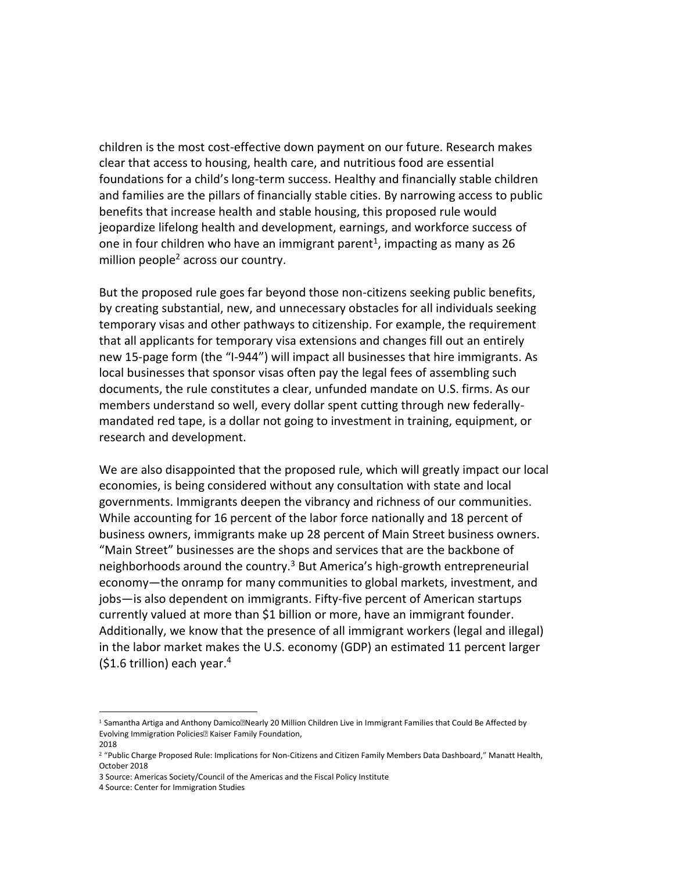children is the most cost-effective down payment on our future. Research makes clear that access to housing, health care, and nutritious food are essential foundations for a child's long-term success. Healthy and financially stable children and families are the pillars of financially stable cities. By narrowing access to public benefits that increase health and stable housing, this proposed rule would jeopardize lifelong health and development, earnings, and workforce success of one in four children who have an immigrant parent<sup>1</sup>, impacting as many as 26 million people<sup>2</sup> across our country.

But the proposed rule goes far beyond those non-citizens seeking public benefits, by creating substantial, new, and unnecessary obstacles for all individuals seeking temporary visas and other pathways to citizenship. For example, the requirement that all applicants for temporary visa extensions and changes fill out an entirely new 15-page form (the "I-944") will impact all businesses that hire immigrants. As local businesses that sponsor visas often pay the legal fees of assembling such documents, the rule constitutes a clear, unfunded mandate on U.S. firms. As our members understand so well, every dollar spent cutting through new federallymandated red tape, is a dollar not going to investment in training, equipment, or research and development.

We are also disappointed that the proposed rule, which will greatly impact our local economies, is being considered without any consultation with state and local governments. Immigrants deepen the vibrancy and richness of our communities. While accounting for 16 percent of the labor force nationally and 18 percent of business owners, immigrants make up 28 percent of Main Street business owners. "Main Street" businesses are the shops and services that are the backbone of neighborhoods around the country.<sup>3</sup> But America's high-growth entrepreneurial economy—the onramp for many communities to global markets, investment, and jobs—is also dependent on immigrants. Fifty-five percent of American startups currently valued at more than \$1 billion or more, have an immigrant founder. Additionally, we know that the presence of all immigrant workers (legal and illegal) in the labor market makes the U.S. economy (GDP) an estimated 11 percent larger  $(51.6$  trillion) each year.<sup>4</sup>

l

<sup>&</sup>lt;sup>1</sup> Samantha Artiga and Anthony Damico**Mearly 20 Million Children Live in Immigrant Families that Could Be Affected by** Evolving Immigration Policies<sup>[2]</sup> Kaiser Family Foundation,

<sup>2018</sup>

<sup>&</sup>lt;sup>2</sup> "Public Charge Proposed Rule: Implications for Non-Citizens and Citizen Family Members Data Dashboard," Manatt Health, October 2018

<sup>3</sup> [Source: Americas Society/Council of the Americas and the Fiscal Policy Institute](http://www.as-coa.org/sites/default/files/ImmigrantBusinessReport.pdf)

<sup>4</sup> [Source: Center for Immigration Studies](https://cis.org/Report/Immigration-and-American-Worker)